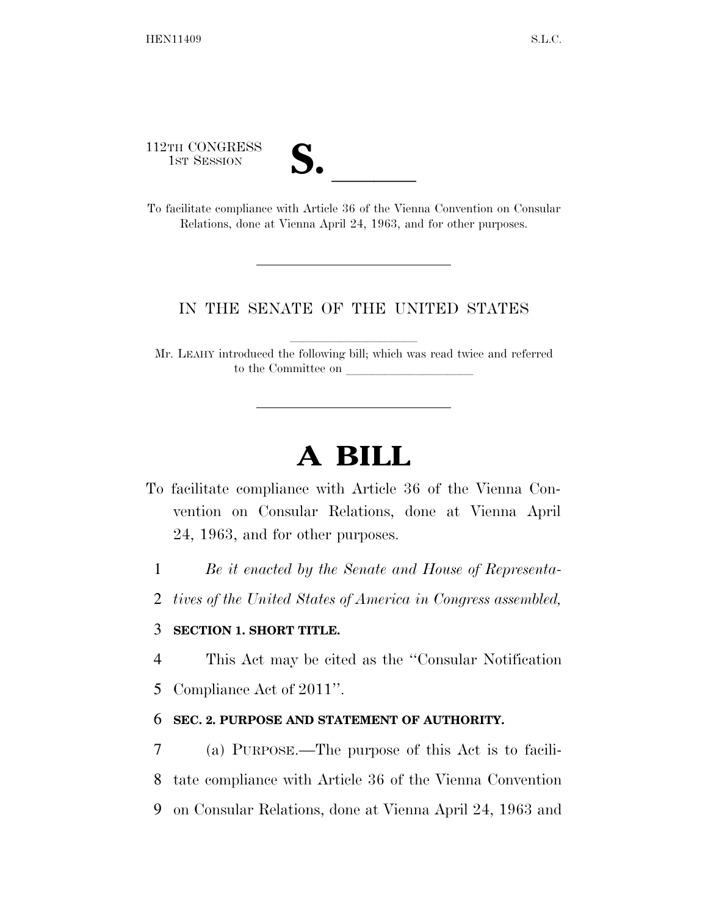112TH CONGRESS



112TH CONGRESS<br>
1ST SESSION<br>
To facilitate compliance with Article 36 of the Vienna Convention on Consular Relations, done at Vienna April 24, 1963, and for other purposes.

# IN THE SENATE OF THE UNITED STATES

Mr. LEAHY introduced the following bill; which was read twice and referred to the Committee on

# **A BILL**

- To facilitate compliance with Article 36 of the Vienna Convention on Consular Relations, done at Vienna April 24, 1963, and for other purposes.
	- 1 *Be it enacted by the Senate and House of Representa-*
	- 2 *tives of the United States of America in Congress assembled,*

# 3 **SECTION 1. SHORT TITLE.**

- 4 This Act may be cited as the ''Consular Notification
- 5 Compliance Act of 2011''.

### 6 **SEC. 2. PURPOSE AND STATEMENT OF AUTHORITY.**

7 (a) PURPOSE.—The purpose of this Act is to facili-8 tate compliance with Article 36 of the Vienna Convention 9 on Consular Relations, done at Vienna April 24, 1963 and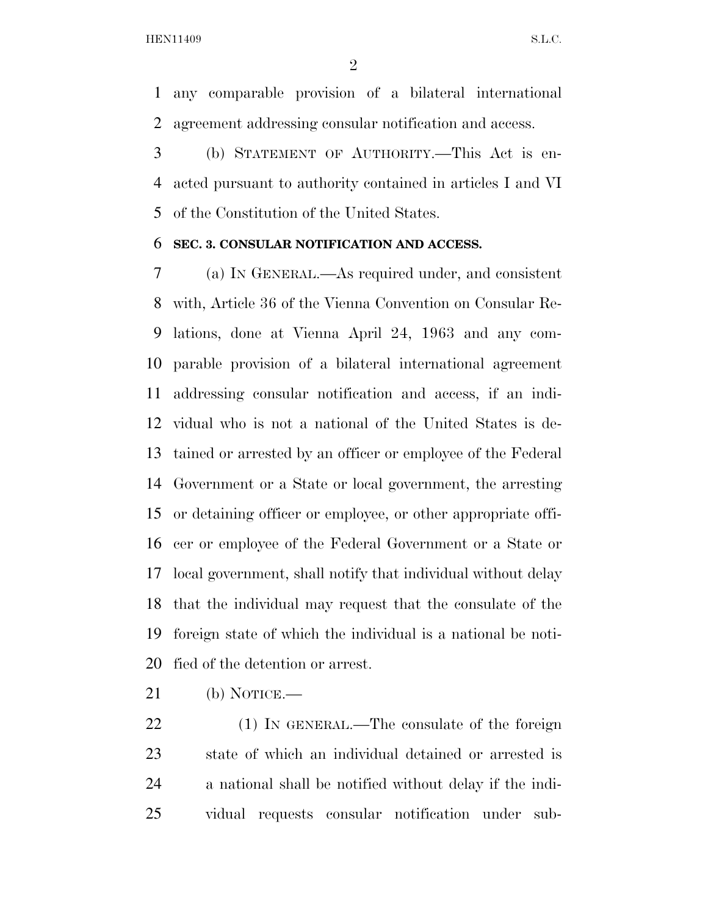any comparable provision of a bilateral international agreement addressing consular notification and access.

 (b) STATEMENT OF AUTHORITY.—This Act is en- acted pursuant to authority contained in articles I and VI of the Constitution of the United States.

#### **SEC. 3. CONSULAR NOTIFICATION AND ACCESS.**

 (a) IN GENERAL.—As required under, and consistent with, Article 36 of the Vienna Convention on Consular Re- lations, done at Vienna April 24, 1963 and any com- parable provision of a bilateral international agreement addressing consular notification and access, if an indi- vidual who is not a national of the United States is de- tained or arrested by an officer or employee of the Federal Government or a State or local government, the arresting or detaining officer or employee, or other appropriate offi- cer or employee of the Federal Government or a State or local government, shall notify that individual without delay that the individual may request that the consulate of the foreign state of which the individual is a national be noti-fied of the detention or arrest.

(b) NOTICE.—

22 (1) IN GENERAL.—The consulate of the foreign state of which an individual detained or arrested is a national shall be notified without delay if the indi-vidual requests consular notification under sub-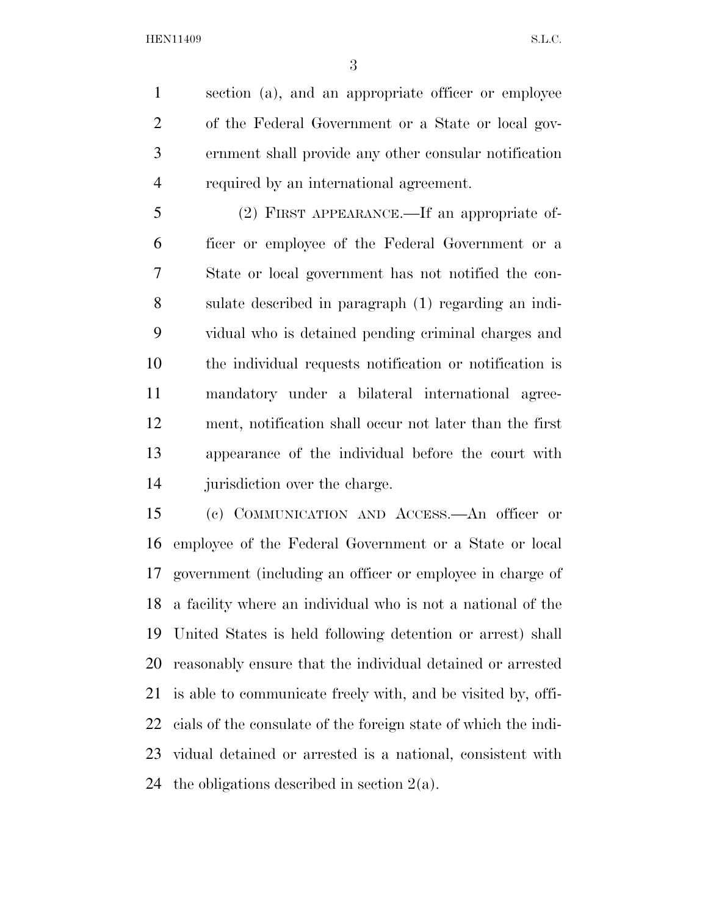section (a), and an appropriate officer or employee of the Federal Government or a State or local gov- ernment shall provide any other consular notification required by an international agreement.

 (2) FIRST APPEARANCE.—If an appropriate of- ficer or employee of the Federal Government or a State or local government has not notified the con- sulate described in paragraph (1) regarding an indi- vidual who is detained pending criminal charges and the individual requests notification or notification is mandatory under a bilateral international agree- ment, notification shall occur not later than the first appearance of the individual before the court with 14 jurisdiction over the charge.

 (c) COMMUNICATION AND ACCESS.—An officer or employee of the Federal Government or a State or local government (including an officer or employee in charge of a facility where an individual who is not a national of the United States is held following detention or arrest) shall reasonably ensure that the individual detained or arrested is able to communicate freely with, and be visited by, offi- cials of the consulate of the foreign state of which the indi- vidual detained or arrested is a national, consistent with 24 the obligations described in section  $2(a)$ .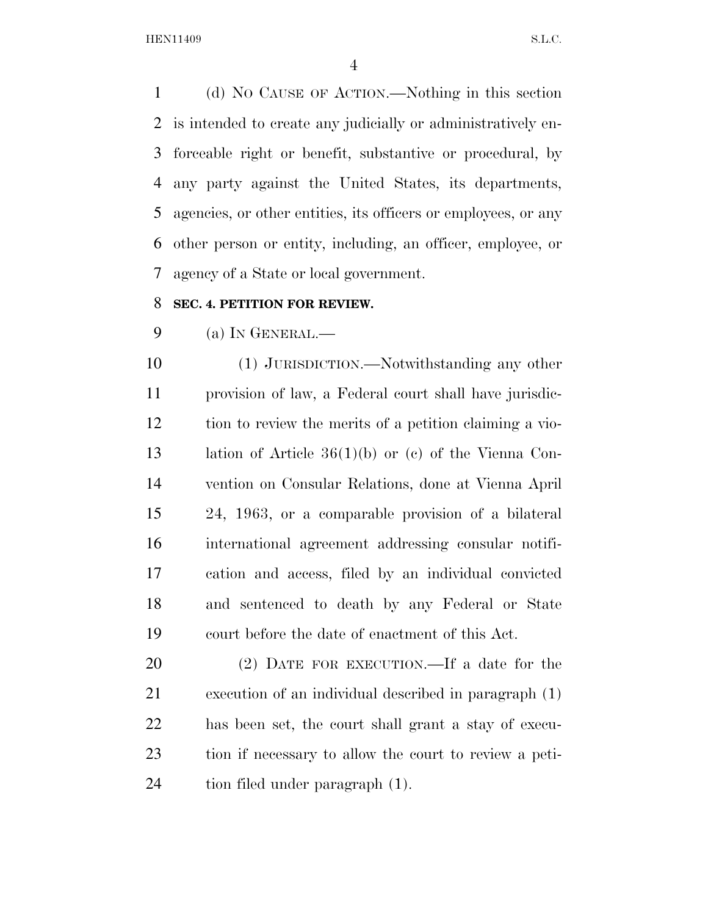(d) NO CAUSE OF ACTION.—Nothing in this section is intended to create any judicially or administratively en- forceable right or benefit, substantive or procedural, by any party against the United States, its departments, agencies, or other entities, its officers or employees, or any other person or entity, including, an officer, employee, or agency of a State or local government.

# **SEC. 4. PETITION FOR REVIEW.**

(a) IN GENERAL.—

 (1) JURISDICTION.—Notwithstanding any other provision of law, a Federal court shall have jurisdic- tion to review the merits of a petition claiming a vio- lation of Article 36(1)(b) or (c) of the Vienna Con- vention on Consular Relations, done at Vienna April 24, 1963, or a comparable provision of a bilateral international agreement addressing consular notifi- cation and access, filed by an individual convicted and sentenced to death by any Federal or State court before the date of enactment of this Act.

 (2) DATE FOR EXECUTION.—If a date for the execution of an individual described in paragraph (1) has been set, the court shall grant a stay of execu- tion if necessary to allow the court to review a peti-tion filed under paragraph (1).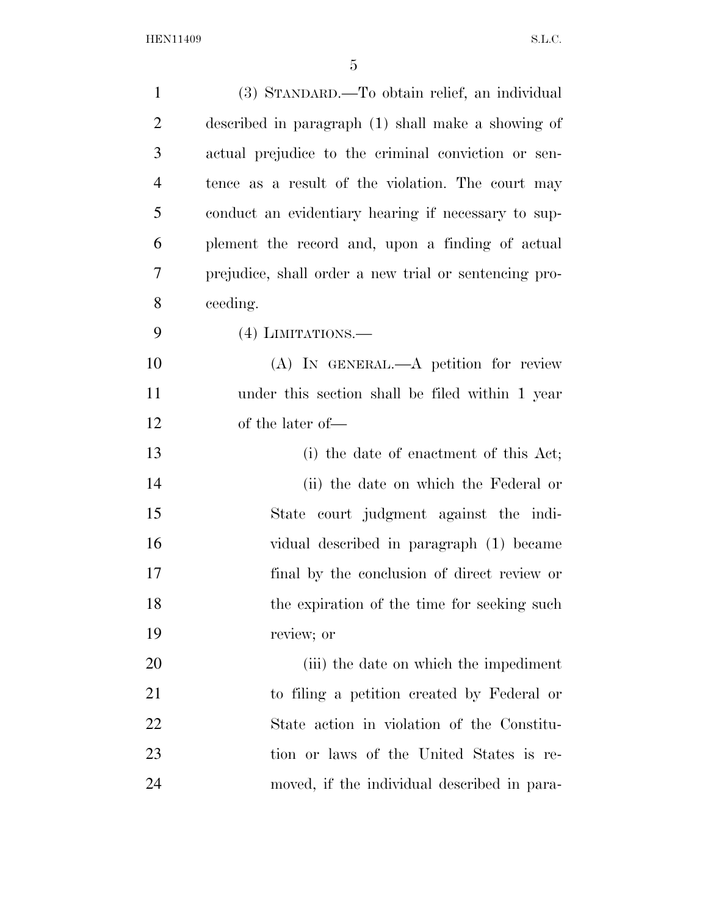| $\mathbf{1}$   | (3) STANDARD.—To obtain relief, an individual         |
|----------------|-------------------------------------------------------|
| $\overline{2}$ | described in paragraph (1) shall make a showing of    |
| 3              | actual prejudice to the criminal conviction or sen-   |
| $\overline{4}$ | tence as a result of the violation. The court may     |
| 5              | conduct an evidentiary hearing if necessary to sup-   |
| 6              | plement the record and, upon a finding of actual      |
| 7              | prejudice, shall order a new trial or sentencing pro- |
| 8              | ceeding.                                              |
| 9              | $(4)$ LIMITATIONS.—                                   |
| 10             | (A) IN GENERAL.—A petition for review                 |
| 11             | under this section shall be filed within 1 year       |
| 12             | of the later of—                                      |
| 13             | (i) the date of enactment of this Act;                |
| 14             | (ii) the date on which the Federal or                 |
| 15             | State court judgment against the indi-                |
| 16             | vidual described in paragraph (1) became              |
| 17             | final by the conclusion of direct review or           |
| 18             | the expiration of the time for seeking such           |
| 19             | review; or                                            |
| 20             | (iii) the date on which the impediment                |
| 21             | to filing a petition created by Federal or            |
| 22             | State action in violation of the Constitu-            |
| 23             | tion or laws of the United States is re-              |
| 24             | moved, if the individual described in para-           |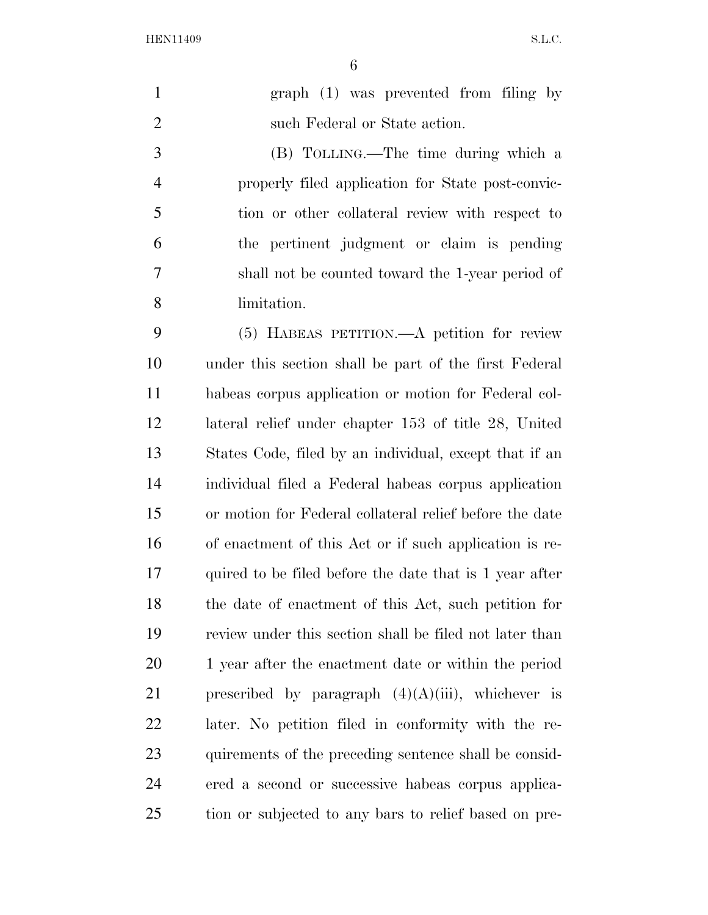| $\mathbf{1}$   | graph (1) was prevented from filing by                  |
|----------------|---------------------------------------------------------|
| $\overline{2}$ | such Federal or State action.                           |
| 3              | (B) TOLLING.—The time during which a                    |
| $\overline{4}$ | properly filed application for State post-convic-       |
| 5              | tion or other collateral review with respect to         |
| 6              | the pertinent judgment or claim is pending              |
| 7              | shall not be counted toward the 1-year period of        |
| 8              | limitation.                                             |
| 9              | (5) HABEAS PETITION.—A petition for review              |
| 10             | under this section shall be part of the first Federal   |
| 11             | habeas corpus application or motion for Federal col-    |
| 12             | lateral relief under chapter 153 of title 28, United    |
| 13             | States Code, filed by an individual, except that if an  |
| 14             | individual filed a Federal habeas corpus application    |
| 15             | or motion for Federal collateral relief before the date |
| 16             | of enactment of this Act or if such application is re-  |
| 17             | quired to be filed before the date that is 1 year after |
| 18             | the date of enactment of this Act, such petition for    |
| 19             | review under this section shall be filed not later than |
| 20             | 1 year after the enactment date or within the period    |
| 21             | prescribed by paragraph $(4)(A)(iii)$ , whichever is    |
| 22             | later. No petition filed in conformity with the re-     |
| 23             | quirements of the preceding sentence shall be consid-   |
| 24             | ered a second or successive habeas corpus applica-      |
| 25             | tion or subjected to any bars to relief based on pre-   |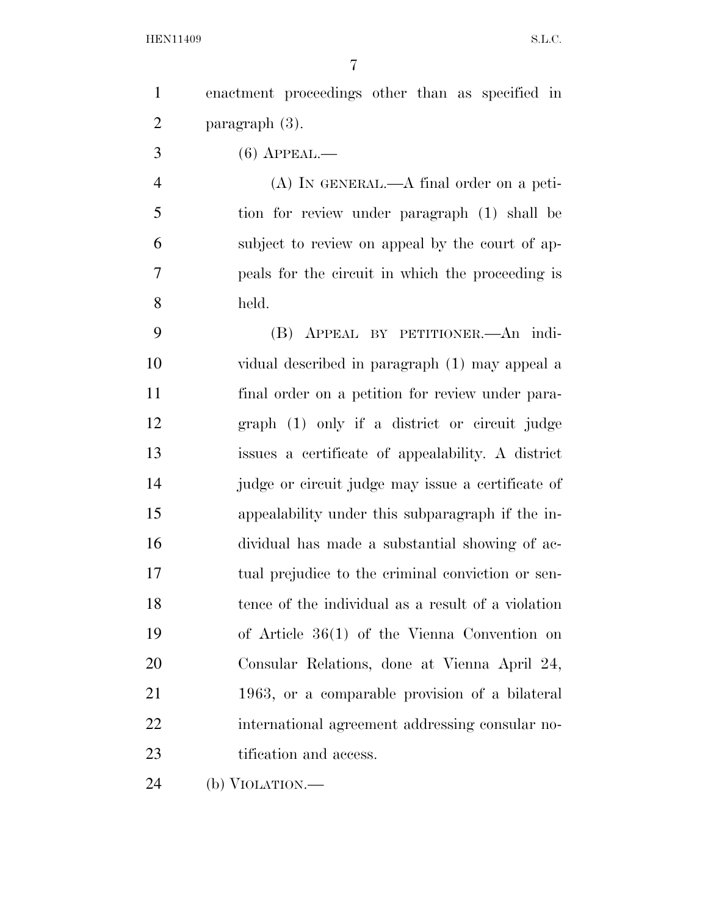enactment proceedings other than as specified in paragraph (3).

(6) APPEAL.—

 (A) IN GENERAL.—A final order on a peti- tion for review under paragraph (1) shall be subject to review on appeal by the court of ap- peals for the circuit in which the proceeding is held.

 (B) APPEAL BY PETITIONER.—An indi- vidual described in paragraph (1) may appeal a final order on a petition for review under para- graph (1) only if a district or circuit judge issues a certificate of appealability. A district judge or circuit judge may issue a certificate of appealability under this subparagraph if the in- dividual has made a substantial showing of ac- tual prejudice to the criminal conviction or sen- tence of the individual as a result of a violation of Article 36(1) of the Vienna Convention on Consular Relations, done at Vienna April 24, 1963, or a comparable provision of a bilateral international agreement addressing consular no-23 tification and access.

(b) VIOLATION.—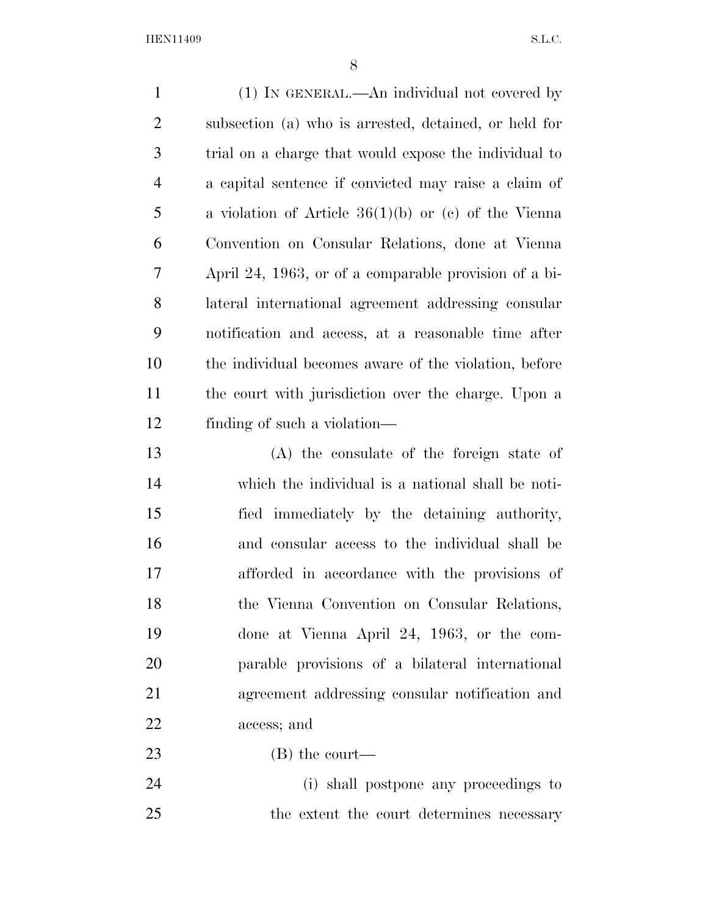| $\mathbf{1}$   | (1) IN GENERAL.—An individual not covered by           |
|----------------|--------------------------------------------------------|
| $\overline{2}$ | subsection (a) who is arrested, detained, or held for  |
| 3              | trial on a charge that would expose the individual to  |
| $\overline{4}$ | a capital sentence if convicted may raise a claim of   |
| 5              | a violation of Article $36(1)(b)$ or (c) of the Vienna |
| 6              | Convention on Consular Relations, done at Vienna       |
| 7              | April 24, 1963, or of a comparable provision of a bi-  |
| 8              | lateral international agreement addressing consular    |
| 9              | notification and access, at a reasonable time after    |
| 10             | the individual becomes aware of the violation, before  |
| 11             | the court with jurisdiction over the charge. Upon a    |
| 12             | finding of such a violation—                           |
| 13             | (A) the consulate of the foreign state of              |
| 14             | which the individual is a national shall be noti-      |
| 15             | fied immediately by the detaining authority,           |
| 16             | and consular access to the individual shall be         |
| 17             | afforded in accordance with the provisions of          |
| 18             | the Vienna Convention on Consular Relations,           |
| 19             | done at Vienna April 24, 1963, or the com-             |
| 20             | parable provisions of a bilateral international        |
| 21             | agreement addressing consular notification and         |
| 22             | access; and                                            |
| 23             | $(B)$ the court—                                       |
| 24             | (i) shall postpone any proceedings to                  |

the extent the court determines necessary